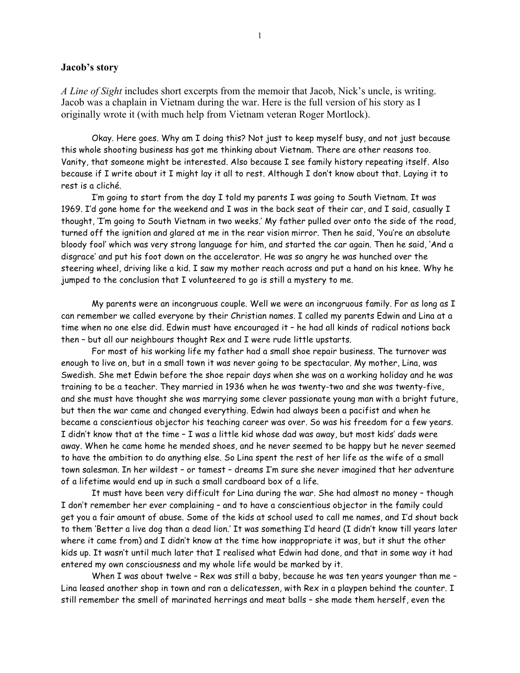### **Jacob's story**

*A Line of Sight* includes short excerpts from the memoir that Jacob, Nick's uncle, is writing. Jacob was a chaplain in Vietnam during the war. Here is the full version of his story as I originally wrote it (with much help from Vietnam veteran Roger Mortlock).

Okay. Here goes. Why am I doing this? Not just to keep myself busy, and not just because this whole shooting business has got me thinking about Vietnam. There are other reasons too. Vanity, that someone might be interested. Also because I see family history repeating itself. Also because if I write about it I might lay it all to rest. Although I don't know about that. Laying it to rest is a cliché.

I'm going to start from the day I told my parents I was going to South Vietnam. It was 1969. I'd gone home for the weekend and I was in the back seat of their car, and I said, casually I thought, 'I'm going to South Vietnam in two weeks.' My father pulled over onto the side of the road, turned off the ignition and glared at me in the rear vision mirror. Then he said, 'You're an absolute bloody fool' which was very strong language for him, and started the car again. Then he said, 'And a disgrace' and put his foot down on the accelerator. He was so angry he was hunched over the steering wheel, driving like a kid. I saw my mother reach across and put a hand on his knee. Why he jumped to the conclusion that I volunteered to go is still a mystery to me.

My parents were an incongruous couple. Well we were an incongruous family. For as long as I can remember we called everyone by their Christian names. I called my parents Edwin and Lina at a time when no one else did. Edwin must have encouraged it – he had all kinds of radical notions back then – but all our neighbours thought Rex and I were rude little upstarts.

For most of his working life my father had a small shoe repair business. The turnover was enough to live on, but in a small town it was never going to be spectacular. My mother, Lina, was Swedish. She met Edwin before the shoe repair days when she was on a working holiday and he was training to be a teacher. They married in 1936 when he was twenty-two and she was twenty-five, and she must have thought she was marrying some clever passionate young man with a bright future, but then the war came and changed everything. Edwin had always been a pacifist and when he became a conscientious objector his teaching career was over. So was his freedom for a few years. I didn't know that at the time – I was a little kid whose dad was away, but most kids' dads were away. When he came home he mended shoes, and he never seemed to be happy but he never seemed to have the ambition to do anything else. So Lina spent the rest of her life as the wife of a small town salesman. In her wildest – or tamest – dreams I'm sure she never imagined that her adventure of a lifetime would end up in such a small cardboard box of a life.

It must have been very difficult for Lina during the war. She had almost no money – though I don't remember her ever complaining – and to have a conscientious objector in the family could get you a fair amount of abuse. Some of the kids at school used to call me names, and I'd shout back to them 'Better a live dog than a dead lion.' It was something I'd heard (I didn't know till years later where it came from) and I didn't know at the time how inappropriate it was, but it shut the other kids up. It wasn't until much later that I realised what Edwin had done, and that in some way it had entered my own consciousness and my whole life would be marked by it.

When I was about twelve – Rex was still a baby, because he was ten years younger than me – Lina leased another shop in town and ran a delicatessen, with Rex in a playpen behind the counter. I still remember the smell of marinated herrings and meat balls – she made them herself, even the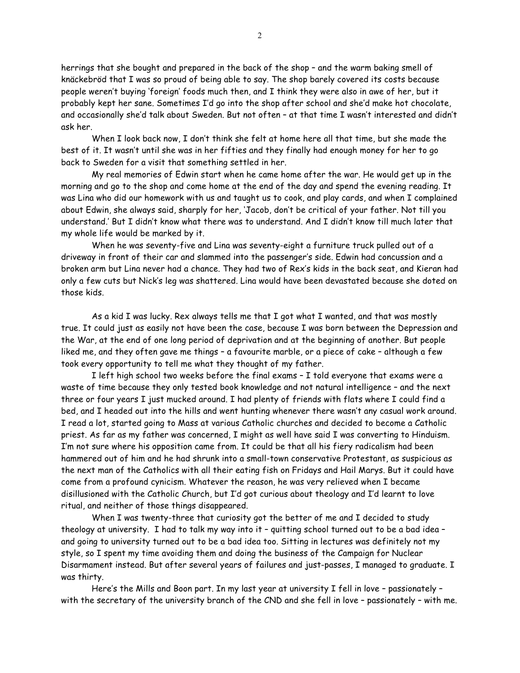herrings that she bought and prepared in the back of the shop – and the warm baking smell of knäckebröd that I was so proud of being able to say. The shop barely covered its costs because people weren't buying 'foreign' foods much then, and I think they were also in awe of her, but it probably kept her sane. Sometimes I'd go into the shop after school and she'd make hot chocolate, and occasionally she'd talk about Sweden. But not often – at that time I wasn't interested and didn't ask her.

When I look back now, I don't think she felt at home here all that time, but she made the best of it. It wasn't until she was in her fifties and they finally had enough money for her to go back to Sweden for a visit that something settled in her.

My real memories of Edwin start when he came home after the war. He would get up in the morning and go to the shop and come home at the end of the day and spend the evening reading. It was Lina who did our homework with us and taught us to cook, and play cards, and when I complained about Edwin, she always said, sharply for her, 'Jacob, don't be critical of your father. Not till you understand.' But I didn't know what there was to understand. And I didn't know till much later that my whole life would be marked by it.

When he was seventy-five and Lina was seventy-eight a furniture truck pulled out of a driveway in front of their car and slammed into the passenger's side. Edwin had concussion and a broken arm but Lina never had a chance. They had two of Rex's kids in the back seat, and Kieran had only a few cuts but Nick's leg was shattered. Lina would have been devastated because she doted on those kids.

As a kid I was lucky. Rex always tells me that I got what I wanted, and that was mostly true. It could just as easily not have been the case, because I was born between the Depression and the War, at the end of one long period of deprivation and at the beginning of another. But people liked me, and they often gave me things – a favourite marble, or a piece of cake – although a few took every opportunity to tell me what they thought of my father.

I left high school two weeks before the final exams – I told everyone that exams were a waste of time because they only tested book knowledge and not natural intelligence – and the next three or four years I just mucked around. I had plenty of friends with flats where I could find a bed, and I headed out into the hills and went hunting whenever there wasn't any casual work around. I read a lot, started going to Mass at various Catholic churches and decided to become a Catholic priest. As far as my father was concerned, I might as well have said I was converting to Hinduism. I'm not sure where his opposition came from. It could be that all his fiery radicalism had been hammered out of him and he had shrunk into a small-town conservative Protestant, as suspicious as the next man of the Catholics with all their eating fish on Fridays and Hail Marys. But it could have come from a profound cynicism. Whatever the reason, he was very relieved when I became disillusioned with the Catholic Church, but I'd got curious about theology and I'd learnt to love ritual, and neither of those things disappeared.

When I was twenty-three that curiosity got the better of me and I decided to study theology at university. I had to talk my way into it – quitting school turned out to be a bad idea – and going to university turned out to be a bad idea too. Sitting in lectures was definitely not my style, so I spent my time avoiding them and doing the business of the Campaign for Nuclear Disarmament instead. But after several years of failures and just-passes, I managed to graduate. I was thirty.

Here's the Mills and Boon part. In my last year at university I fell in love – passionately – with the secretary of the university branch of the CND and she fell in love – passionately – with me.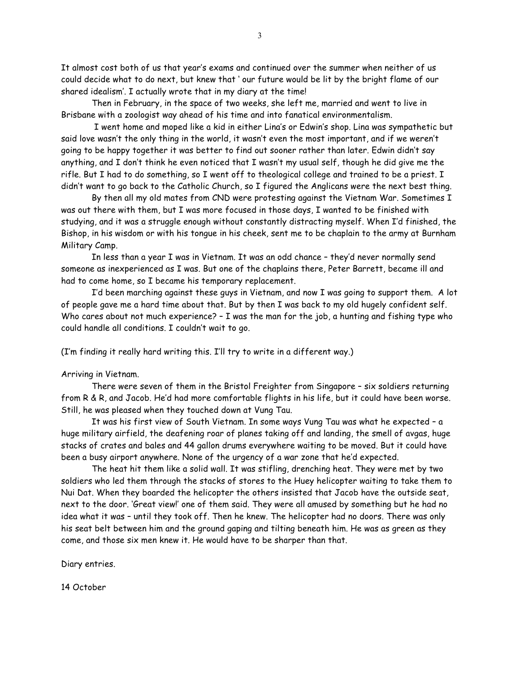It almost cost both of us that year's exams and continued over the summer when neither of us could decide what to do next, but knew that ' our future would be lit by the bright flame of our shared idealism'. I actually wrote that in my diary at the time!

Then in February, in the space of two weeks, she left me, married and went to live in Brisbane with a zoologist way ahead of his time and into fanatical environmentalism.

I went home and moped like a kid in either Lina's or Edwin's shop. Lina was sympathetic but said love wasn't the only thing in the world, it wasn't even the most important, and if we weren't going to be happy together it was better to find out sooner rather than later. Edwin didn't say anything, and I don't think he even noticed that I wasn't my usual self, though he did give me the rifle. But I had to do something, so I went off to theological college and trained to be a priest. I didn't want to go back to the Catholic Church, so I figured the Anglicans were the next best thing.

By then all my old mates from CND were protesting against the Vietnam War. Sometimes I was out there with them, but I was more focused in those days, I wanted to be finished with studying, and it was a struggle enough without constantly distracting myself. When I'd finished, the Bishop, in his wisdom or with his tongue in his cheek, sent me to be chaplain to the army at Burnham Military Camp.

In less than a year I was in Vietnam. It was an odd chance – they'd never normally send someone as inexperienced as I was. But one of the chaplains there, Peter Barrett, became ill and had to come home, so I became his temporary replacement.

I'd been marching against these guys in Vietnam, and now I was going to support them. A lot of people gave me a hard time about that. But by then I was back to my old hugely confident self. Who cares about not much experience? – I was the man for the job, a hunting and fishing type who could handle all conditions. I couldn't wait to go.

(I'm finding it really hard writing this. I'll try to write in a different way.)

#### Arriving in Vietnam.

There were seven of them in the Bristol Freighter from Singapore – six soldiers returning from R & R, and Jacob. He'd had more comfortable flights in his life, but it could have been worse. Still, he was pleased when they touched down at Vung Tau.

It was his first view of South Vietnam. In some ways Vung Tau was what he expected – a huge military airfield, the deafening roar of planes taking off and landing, the smell of avgas, huge stacks of crates and bales and 44 gallon drums everywhere waiting to be moved. But it could have been a busy airport anywhere. None of the urgency of a war zone that he'd expected.

The heat hit them like a solid wall. It was stifling, drenching heat. They were met by two soldiers who led them through the stacks of stores to the Huey helicopter waiting to take them to Nui Dat. When they boarded the helicopter the others insisted that Jacob have the outside seat, next to the door. 'Great view!' one of them said. They were all amused by something but he had no idea what it was – until they took off. Then he knew. The helicopter had no doors. There was only his seat belt between him and the ground gaping and tilting beneath him. He was as green as they come, and those six men knew it. He would have to be sharper than that.

Diary entries.

14 October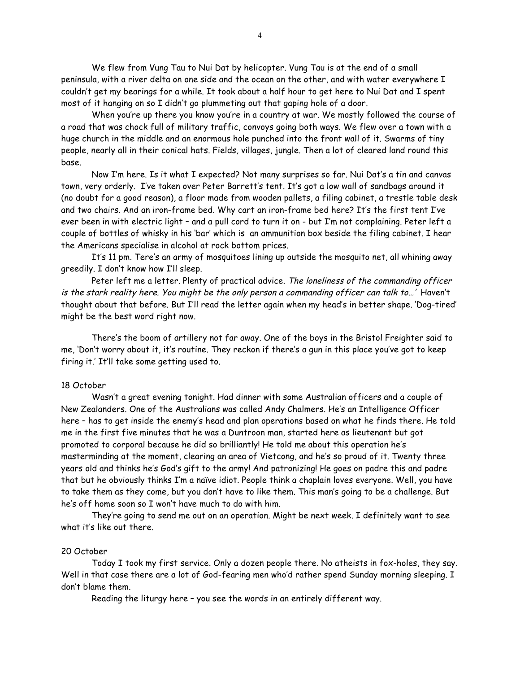We flew from Vung Tau to Nui Dat by helicopter. Vung Tau is at the end of a small peninsula, with a river delta on one side and the ocean on the other, and with water everywhere I couldn't get my bearings for a while. It took about a half hour to get here to Nui Dat and I spent most of it hanging on so I didn't go plummeting out that gaping hole of a door.

When you're up there you know you're in a country at war. We mostly followed the course of a road that was chock full of military traffic, convoys going both ways. We flew over a town with a huge church in the middle and an enormous hole punched into the front wall of it. Swarms of tiny people, nearly all in their conical hats. Fields, villages, jungle. Then a lot of cleared land round this base.

Now I'm here. Is it what I expected? Not many surprises so far. Nui Dat's a tin and canvas town, very orderly. I've taken over Peter Barrett's tent. It's got a low wall of sandbags around it (no doubt for a good reason), a floor made from wooden pallets, a filing cabinet, a trestle table desk and two chairs. And an iron-frame bed. Why cart an iron-frame bed here? It's the first tent I've ever been in with electric light – and a pull cord to turn it on - but I'm not complaining. Peter left a couple of bottles of whisky in his 'bar' which is an ammunition box beside the filing cabinet. I hear the Americans specialise in alcohol at rock bottom prices.

It's 11 pm. Tere's an army of mosquitoes lining up outside the mosquito net, all whining away greedily. I don't know how I'll sleep.

Peter left me a letter. Plenty of practical advice. The loneliness of the commanding officer is the stark reality here. You might be the only person a commanding officer can talk to…' Haven't thought about that before. But I'll read the letter again when my head's in better shape. 'Dog-tired' might be the best word right now.

There's the boom of artillery not far away. One of the boys in the Bristol Freighter said to me, 'Don't worry about it, it's routine. They reckon if there's a gun in this place you've got to keep firing it.' It'll take some getting used to.

## 18 October

Wasn't a great evening tonight. Had dinner with some Australian officers and a couple of New Zealanders. One of the Australians was called Andy Chalmers. He's an Intelligence Officer here – has to get inside the enemy's head and plan operations based on what he finds there. He told me in the first five minutes that he was a Duntroon man, started here as lieutenant but got promoted to corporal because he did so brilliantly! He told me about this operation he's masterminding at the moment, clearing an area of Vietcong, and he's so proud of it. Twenty three years old and thinks he's God's gift to the army! And patronizing! He goes on padre this and padre that but he obviously thinks I'm a naïve idiot. People think a chaplain loves everyone. Well, you have to take them as they come, but you don't have to like them. This man's going to be a challenge. But he's off home soon so I won't have much to do with him.

They're going to send me out on an operation. Might be next week. I definitely want to see what it's like out there.

### 20 October

Today I took my first service. Only a dozen people there. No atheists in fox-holes, they say. Well in that case there are a lot of God-fearing men who'd rather spend Sunday morning sleeping. I don't blame them.

Reading the liturgy here – you see the words in an entirely different way.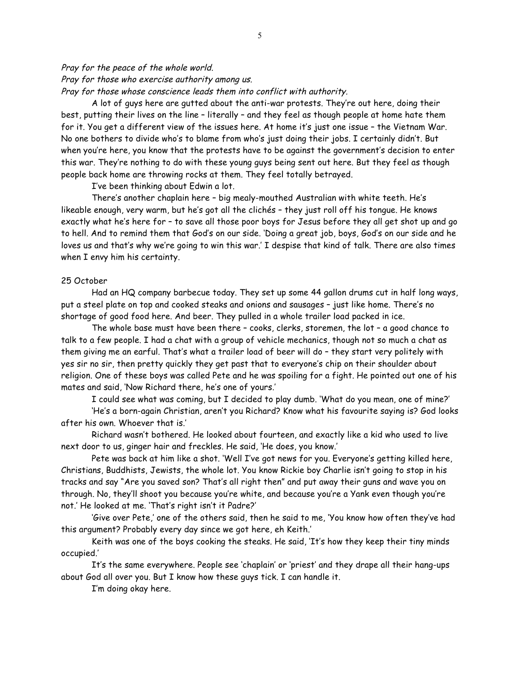# Pray for the peace of the whole world. Pray for those who exercise authority among us. Pray for those whose conscience leads them into conflict with authority.

A lot of guys here are gutted about the anti-war protests. They're out here, doing their best, putting their lives on the line – literally – and they feel as though people at home hate them for it. You get a different view of the issues here. At home it's just one issue – the Vietnam War. No one bothers to divide who's to blame from who's just doing their jobs. I certainly didn't. But when you're here, you know that the protests have to be against the government's decision to enter this war. They're nothing to do with these young guys being sent out here. But they feel as though people back home are throwing rocks at them. They feel totally betrayed.

I've been thinking about Edwin a lot.

There's another chaplain here – big mealy-mouthed Australian with white teeth. He's likeable enough, very warm, but he's got all the clichés – they just roll off his tongue. He knows exactly what he's here for – to save all those poor boys for Jesus before they all get shot up and go to hell. And to remind them that God's on our side. 'Doing a great job, boys, God's on our side and he loves us and that's why we're going to win this war.' I despise that kind of talk. There are also times when I envy him his certainty.

### 25 October

Had an HQ company barbecue today. They set up some 44 gallon drums cut in half long ways, put a steel plate on top and cooked steaks and onions and sausages – just like home. There's no shortage of good food here. And beer. They pulled in a whole trailer load packed in ice.

The whole base must have been there – cooks, clerks, storemen, the lot – a good chance to talk to a few people. I had a chat with a group of vehicle mechanics, though not so much a chat as them giving me an earful. That's what a trailer load of beer will do – they start very politely with yes sir no sir, then pretty quickly they get past that to everyone's chip on their shoulder about religion. One of these boys was called Pete and he was spoiling for a fight. He pointed out one of his mates and said, 'Now Richard there, he's one of yours.'

I could see what was coming, but I decided to play dumb. 'What do you mean, one of mine?'

'He's a born-again Christian, aren't you Richard? Know what his favourite saying is? God looks after his own. Whoever that is.'

Richard wasn't bothered. He looked about fourteen, and exactly like a kid who used to live next door to us, ginger hair and freckles. He said, 'He does, you know.'

Pete was back at him like a shot. 'Well I've got news for you. Everyone's getting killed here, Christians, Buddhists, Jewists, the whole lot. You know Rickie boy Charlie isn't going to stop in his tracks and say "Are you saved son? That's all right then" and put away their guns and wave you on through. No, they'll shoot you because you're white, and because you're a Yank even though you're not.' He looked at me. 'That's right isn't it Padre?'

'Give over Pete,' one of the others said, then he said to me, 'You know how often they've had this argument? Probably every day since we got here, eh Keith.'

Keith was one of the boys cooking the steaks. He said, 'It's how they keep their tiny minds occupied.'

It's the same everywhere. People see 'chaplain' or 'priest' and they drape all their hang-ups about God all over you. But I know how these guys tick. I can handle it.

I'm doing okay here.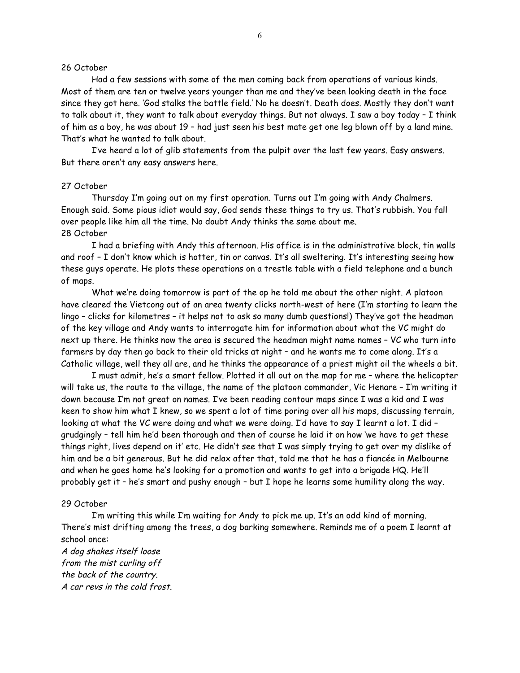### 26 October

Had a few sessions with some of the men coming back from operations of various kinds. Most of them are ten or twelve years younger than me and they've been looking death in the face since they got here. 'God stalks the battle field.' No he doesn't. Death does. Mostly they don't want to talk about it, they want to talk about everyday things. But not always. I saw a boy today – I think of him as a boy, he was about 19 – had just seen his best mate get one leg blown off by a land mine. That's what he wanted to talk about.

I've heard a lot of glib statements from the pulpit over the last few years. Easy answers. But there aren't any easy answers here.

### 27 October

Thursday I'm going out on my first operation. Turns out I'm going with Andy Chalmers. Enough said. Some pious idiot would say, God sends these things to try us. That's rubbish. You fall over people like him all the time. No doubt Andy thinks the same about me. 28 October

I had a briefing with Andy this afternoon. His office is in the administrative block, tin walls and roof – I don't know which is hotter, tin or canvas. It's all sweltering. It's interesting seeing how these guys operate. He plots these operations on a trestle table with a field telephone and a bunch of maps.

What we're doing tomorrow is part of the op he told me about the other night. A platoon have cleared the Vietcong out of an area twenty clicks north-west of here (I'm starting to learn the lingo – clicks for kilometres – it helps not to ask so many dumb questions!) They've got the headman of the key village and Andy wants to interrogate him for information about what the VC might do next up there. He thinks now the area is secured the headman might name names – VC who turn into farmers by day then go back to their old tricks at night – and he wants me to come along. It's a Catholic village, well they all are, and he thinks the appearance of a priest might oil the wheels a bit.

I must admit, he's a smart fellow. Plotted it all out on the map for me – where the helicopter will take us, the route to the village, the name of the platoon commander, Vic Henare – I'm writing it down because I'm not great on names. I've been reading contour maps since I was a kid and I was keen to show him what I knew, so we spent a lot of time poring over all his maps, discussing terrain, looking at what the VC were doing and what we were doing. I'd have to say I learnt a lot. I did – grudgingly – tell him he'd been thorough and then of course he laid it on how 'we have to get these things right, lives depend on it' etc. He didn't see that I was simply trying to get over my dislike of him and be a bit generous. But he did relax after that, told me that he has a fiancée in Melbourne and when he goes home he's looking for a promotion and wants to get into a brigade HQ. He'll probably get it – he's smart and pushy enough – but I hope he learns some humility along the way.

### 29 October

I'm writing this while I'm waiting for Andy to pick me up. It's an odd kind of morning. There's mist drifting among the trees, a dog barking somewhere. Reminds me of a poem I learnt at school once:

A dog shakes itself loose from the mist curling off the back of the country. A car revs in the cold frost.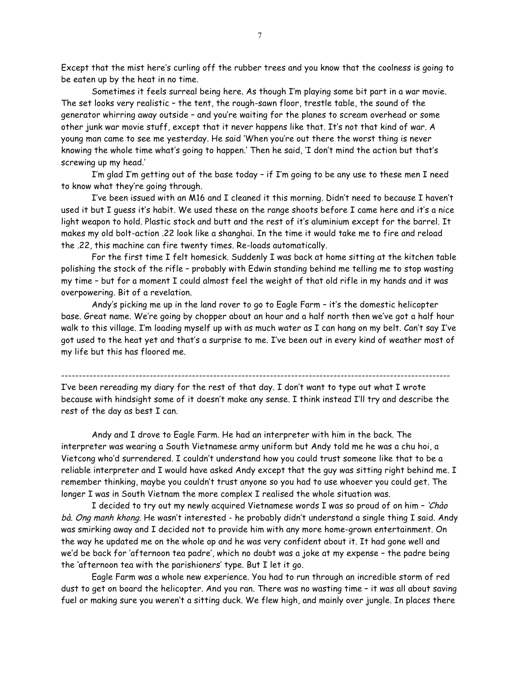Except that the mist here's curling off the rubber trees and you know that the coolness is going to be eaten up by the heat in no time.

Sometimes it feels surreal being here. As though I'm playing some bit part in a war movie. The set looks very realistic – the tent, the rough-sawn floor, trestle table, the sound of the generator whirring away outside – and you're waiting for the planes to scream overhead or some other junk war movie stuff, except that it never happens like that. It's not that kind of war. A young man came to see me yesterday. He said 'When you're out there the worst thing is never knowing the whole time what's going to happen.' Then he said, 'I don't mind the action but that's screwing up my head.'

I'm glad I'm getting out of the base today – if I'm going to be any use to these men I need to know what they're going through.

I've been issued with an M16 and I cleaned it this morning. Didn't need to because I haven't used it but I guess it's habit. We used these on the range shoots before I came here and it's a nice light weapon to hold. Plastic stock and butt and the rest of it's aluminium except for the barrel. It makes my old bolt-action .22 look like a shanghai. In the time it would take me to fire and reload the .22, this machine can fire twenty times. Re-loads automatically.

For the first time I felt homesick. Suddenly I was back at home sitting at the kitchen table polishing the stock of the rifle – probably with Edwin standing behind me telling me to stop wasting my time – but for a moment I could almost feel the weight of that old rifle in my hands and it was overpowering. Bit of a revelation.

Andy's picking me up in the land rover to go to Eagle Farm – it's the domestic helicopter base. Great name. We're going by chopper about an hour and a half north then we've got a half hour walk to this village. I'm loading myself up with as much water as I can hang on my belt. Can't say I've got used to the heat yet and that's a surprise to me. I've been out in every kind of weather most of my life but this has floored me.

-------------------------------------------------------------------------------------------------------------- I've been rereading my diary for the rest of that day. I don't want to type out what I wrote because with hindsight some of it doesn't make any sense. I think instead I'll try and describe the rest of the day as best I can.

Andy and I drove to Eagle Farm. He had an interpreter with him in the back. The interpreter was wearing a South Vietnamese army uniform but Andy told me he was a chu hoi, a Vietcong who'd surrendered. I couldn't understand how you could trust someone like that to be a reliable interpreter and I would have asked Andy except that the guy was sitting right behind me. I remember thinking, maybe you couldn't trust anyone so you had to use whoever you could get. The longer I was in South Vietnam the more complex I realised the whole situation was.

I decided to try out my newly acquired Vietnamese words I was so proud of on him - 'Chào bà. Ong manh khong. He wasn't interested - he probably didn't understand a single thing I said. Andy was smirking away and I decided not to provide him with any more home-grown entertainment. On the way he updated me on the whole op and he was very confident about it. It had gone well and we'd be back for 'afternoon tea padre', which no doubt was a joke at my expense – the padre being the 'afternoon tea with the parishioners' type. But I let it go.

Eagle Farm was a whole new experience. You had to run through an incredible storm of red dust to get on board the helicopter. And you ran. There was no wasting time – it was all about saving fuel or making sure you weren't a sitting duck. We flew high, and mainly over jungle. In places there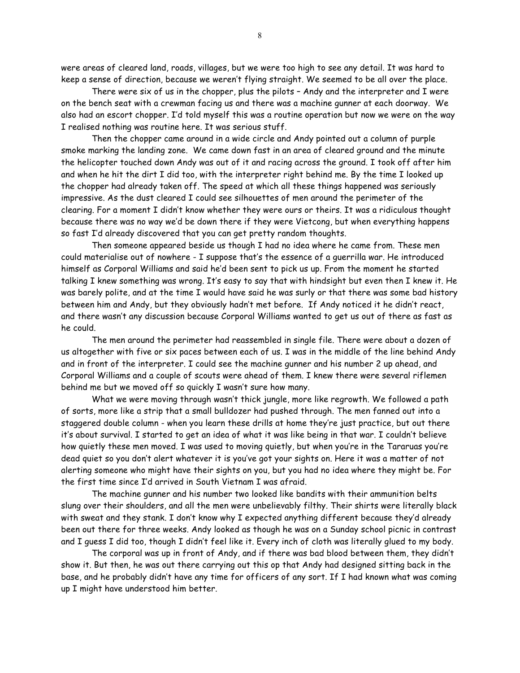were areas of cleared land, roads, villages, but we were too high to see any detail. It was hard to keep a sense of direction, because we weren't flying straight. We seemed to be all over the place.

There were six of us in the chopper, plus the pilots – Andy and the interpreter and I were on the bench seat with a crewman facing us and there was a machine gunner at each doorway. We also had an escort chopper. I'd told myself this was a routine operation but now we were on the way I realised nothing was routine here. It was serious stuff.

Then the chopper came around in a wide circle and Andy pointed out a column of purple smoke marking the landing zone. We came down fast in an area of cleared ground and the minute the helicopter touched down Andy was out of it and racing across the ground. I took off after him and when he hit the dirt I did too, with the interpreter right behind me. By the time I looked up the chopper had already taken off. The speed at which all these things happened was seriously impressive. As the dust cleared I could see silhouettes of men around the perimeter of the clearing. For a moment I didn't know whether they were ours or theirs. It was a ridiculous thought because there was no way we'd be down there if they were Vietcong, but when everything happens so fast I'd already discovered that you can get pretty random thoughts.

Then someone appeared beside us though I had no idea where he came from. These men could materialise out of nowhere - I suppose that's the essence of a guerrilla war. He introduced himself as Corporal Williams and said he'd been sent to pick us up. From the moment he started talking I knew something was wrong. It's easy to say that with hindsight but even then I knew it. He was barely polite, and at the time I would have said he was surly or that there was some bad history between him and Andy, but they obviously hadn't met before. If Andy noticed it he didn't react, and there wasn't any discussion because Corporal Williams wanted to get us out of there as fast as he could.

The men around the perimeter had reassembled in single file. There were about a dozen of us altogether with five or six paces between each of us. I was in the middle of the line behind Andy and in front of the interpreter. I could see the machine gunner and his number 2 up ahead, and Corporal Williams and a couple of scouts were ahead of them. I knew there were several riflemen behind me but we moved off so quickly I wasn't sure how many.

What we were moving through wasn't thick jungle, more like regrowth. We followed a path of sorts, more like a strip that a small bulldozer had pushed through. The men fanned out into a staggered double column - when you learn these drills at home they're just practice, but out there it's about survival. I started to get an idea of what it was like being in that war. I couldn't believe how quietly these men moved. I was used to moving quietly, but when you're in the Tararuas you're dead quiet so you don't alert whatever it is you've got your sights on. Here it was a matter of not alerting someone who might have their sights on you, but you had no idea where they might be. For the first time since I'd arrived in South Vietnam I was afraid.

The machine gunner and his number two looked like bandits with their ammunition belts slung over their shoulders, and all the men were unbelievably filthy. Their shirts were literally black with sweat and they stank. I don't know why I expected anything different because they'd already been out there for three weeks. Andy looked as though he was on a Sunday school picnic in contrast and I guess I did too, though I didn't feel like it. Every inch of cloth was literally glued to my body.

The corporal was up in front of Andy, and if there was bad blood between them, they didn't show it. But then, he was out there carrying out this op that Andy had designed sitting back in the base, and he probably didn't have any time for officers of any sort. If I had known what was coming up I might have understood him better.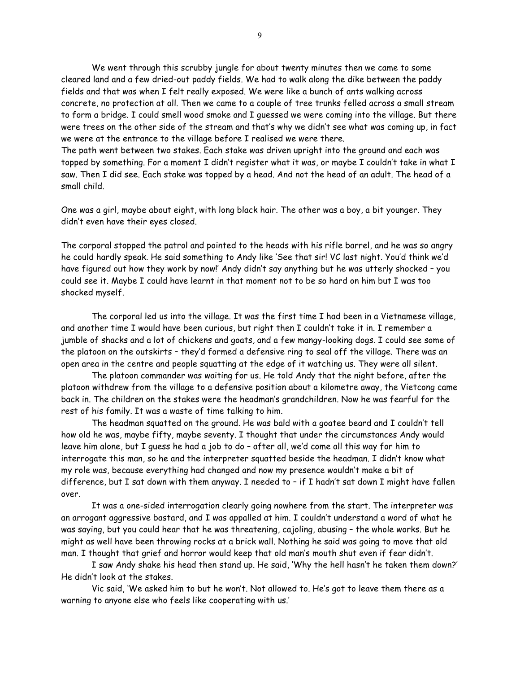We went through this scrubby jungle for about twenty minutes then we came to some cleared land and a few dried-out paddy fields. We had to walk along the dike between the paddy fields and that was when I felt really exposed. We were like a bunch of ants walking across concrete, no protection at all. Then we came to a couple of tree trunks felled across a small stream to form a bridge. I could smell wood smoke and I guessed we were coming into the village. But there were trees on the other side of the stream and that's why we didn't see what was coming up, in fact we were at the entrance to the village before I realised we were there.

The path went between two stakes. Each stake was driven upright into the ground and each was topped by something. For a moment I didn't register what it was, or maybe I couldn't take in what I saw. Then I did see. Each stake was topped by a head. And not the head of an adult. The head of a small child.

One was a girl, maybe about eight, with long black hair. The other was a boy, a bit younger. They didn't even have their eyes closed.

The corporal stopped the patrol and pointed to the heads with his rifle barrel, and he was so angry he could hardly speak. He said something to Andy like 'See that sir! VC last night. You'd think we'd have figured out how they work by now!' Andy didn't say anything but he was utterly shocked – you could see it. Maybe I could have learnt in that moment not to be so hard on him but I was too shocked myself.

The corporal led us into the village. It was the first time I had been in a Vietnamese village, and another time I would have been curious, but right then I couldn't take it in. I remember a jumble of shacks and a lot of chickens and goats, and a few mangy-looking dogs. I could see some of the platoon on the outskirts – they'd formed a defensive ring to seal off the village. There was an open area in the centre and people squatting at the edge of it watching us. They were all silent.

The platoon commander was waiting for us. He told Andy that the night before, after the platoon withdrew from the village to a defensive position about a kilometre away, the Vietcong came back in. The children on the stakes were the headman's grandchildren. Now he was fearful for the rest of his family. It was a waste of time talking to him.

The headman squatted on the ground. He was bald with a goatee beard and I couldn't tell how old he was, maybe fifty, maybe seventy. I thought that under the circumstances Andy would leave him alone, but I guess he had a job to do – after all, we'd come all this way for him to interrogate this man, so he and the interpreter squatted beside the headman. I didn't know what my role was, because everything had changed and now my presence wouldn't make a bit of difference, but I sat down with them anyway. I needed to - if I hadn't sat down I might have fallen over.

It was a one-sided interrogation clearly going nowhere from the start. The interpreter was an arrogant aggressive bastard, and I was appalled at him. I couldn't understand a word of what he was saying, but you could hear that he was threatening, cajoling, abusing – the whole works. But he might as well have been throwing rocks at a brick wall. Nothing he said was going to move that old man. I thought that grief and horror would keep that old man's mouth shut even if fear didn't.

I saw Andy shake his head then stand up. He said, 'Why the hell hasn't he taken them down?' He didn't look at the stakes.

Vic said, 'We asked him to but he won't. Not allowed to. He's got to leave them there as a warning to anyone else who feels like cooperating with us.'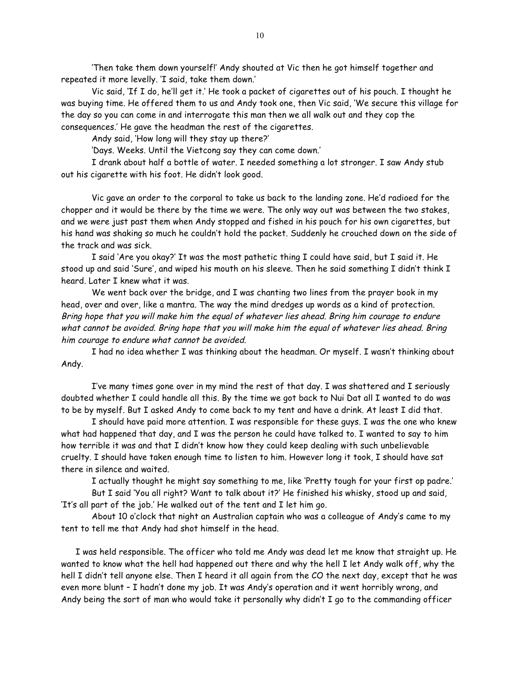'Then take them down yourself!' Andy shouted at Vic then he got himself together and repeated it more levelly. 'I said, take them down.'

Vic said, 'If I do, he'll get it.' He took a packet of cigarettes out of his pouch. I thought he was buying time. He offered them to us and Andy took one, then Vic said, 'We secure this village for the day so you can come in and interrogate this man then we all walk out and they cop the consequences.' He gave the headman the rest of the cigarettes.

Andy said, 'How long will they stay up there?'

'Days. Weeks. Until the Vietcong say they can come down.'

I drank about half a bottle of water. I needed something a lot stronger. I saw Andy stub out his cigarette with his foot. He didn't look good.

Vic gave an order to the corporal to take us back to the landing zone. He'd radioed for the chopper and it would be there by the time we were. The only way out was between the two stakes, and we were just past them when Andy stopped and fished in his pouch for his own cigarettes, but his hand was shaking so much he couldn't hold the packet. Suddenly he crouched down on the side of the track and was sick.

I said 'Are you okay?' It was the most pathetic thing I could have said, but I said it. He stood up and said 'Sure', and wiped his mouth on his sleeve. Then he said something I didn't think I heard. Later I knew what it was.

We went back over the bridge, and I was chanting two lines from the prayer book in my head, over and over, like a mantra. The way the mind dredges up words as a kind of protection. Bring hope that you will make him the equal of whatever lies ahead. Bring him courage to endure what cannot be avoided. Bring hope that you will make him the equal of whatever lies ahead. Bring him courage to endure what cannot be avoided.

I had no idea whether I was thinking about the headman. Or myself. I wasn't thinking about Andy.

I've many times gone over in my mind the rest of that day. I was shattered and I seriously doubted whether I could handle all this. By the time we got back to Nui Dat all I wanted to do was to be by myself. But I asked Andy to come back to my tent and have a drink. At least I did that.

I should have paid more attention. I was responsible for these guys. I was the one who knew what had happened that day, and I was the person he could have talked to. I wanted to say to him how terrible it was and that I didn't know how they could keep dealing with such unbelievable cruelty. I should have taken enough time to listen to him. However long it took, I should have sat there in silence and waited.

I actually thought he might say something to me, like 'Pretty tough for your first op padre.'

But I said 'You all right? Want to talk about it?' He finished his whisky, stood up and said, 'It's all part of the job.' He walked out of the tent and I let him go.

About 10 o'clock that night an Australian captain who was a colleague of Andy's came to my tent to tell me that Andy had shot himself in the head.

I was held responsible. The officer who told me Andy was dead let me know that straight up. He wanted to know what the hell had happened out there and why the hell I let Andy walk off, why the hell I didn't tell anyone else. Then I heard it all again from the CO the next day, except that he was even more blunt – I hadn't done my job. It was Andy's operation and it went horribly wrong, and Andy being the sort of man who would take it personally why didn't I go to the commanding officer